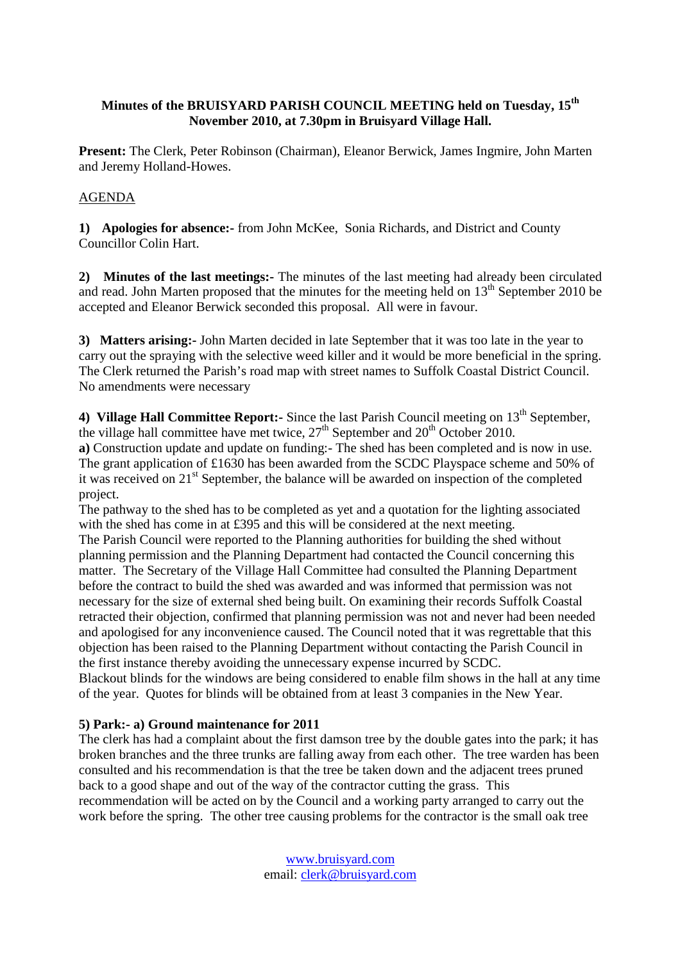## **Minutes of the BRUISYARD PARISH COUNCIL MEETING held on Tuesday, 15th November 2010, at 7.30pm in Bruisyard Village Hall.**

**Present:** The Clerk, Peter Robinson (Chairman), Eleanor Berwick, James Ingmire, John Marten and Jeremy Holland-Howes.

## AGENDA

**1) Apologies for absence:-** from John McKee, Sonia Richards, and District and County Councillor Colin Hart.

**2) Minutes of the last meetings:-** The minutes of the last meeting had already been circulated and read. John Marten proposed that the minutes for the meeting held on  $13<sup>th</sup>$  September 2010 be accepted and Eleanor Berwick seconded this proposal. All were in favour.

**3) Matters arising:-** John Marten decided in late September that it was too late in the year to carry out the spraying with the selective weed killer and it would be more beneficial in the spring. The Clerk returned the Parish's road map with street names to Suffolk Coastal District Council. No amendments were necessary

4) **Village Hall Committee Report:** Since the last Parish Council meeting on 13<sup>th</sup> September, the village hall committee have met twice,  $27<sup>th</sup>$  September and  $20<sup>th</sup>$  October 2010.

**a)** Construction update and update on funding:- The shed has been completed and is now in use. The grant application of £1630 has been awarded from the SCDC Playspace scheme and 50% of it was received on  $21^{st}$  September, the balance will be awarded on inspection of the completed project.

The pathway to the shed has to be completed as yet and a quotation for the lighting associated with the shed has come in at £395 and this will be considered at the next meeting.

The Parish Council were reported to the Planning authorities for building the shed without planning permission and the Planning Department had contacted the Council concerning this matter. The Secretary of the Village Hall Committee had consulted the Planning Department before the contract to build the shed was awarded and was informed that permission was not necessary for the size of external shed being built. On examining their records Suffolk Coastal retracted their objection, confirmed that planning permission was not and never had been needed and apologised for any inconvenience caused. The Council noted that it was regrettable that this objection has been raised to the Planning Department without contacting the Parish Council in the first instance thereby avoiding the unnecessary expense incurred by SCDC.

Blackout blinds for the windows are being considered to enable film shows in the hall at any time of the year. Quotes for blinds will be obtained from at least 3 companies in the New Year.

## **5) Park:- a) Ground maintenance for 2011**

The clerk has had a complaint about the first damson tree by the double gates into the park; it has broken branches and the three trunks are falling away from each other. The tree warden has been consulted and his recommendation is that the tree be taken down and the adjacent trees pruned back to a good shape and out of the way of the contractor cutting the grass. This recommendation will be acted on by the Council and a working party arranged to carry out the work before the spring. The other tree causing problems for the contractor is the small oak tree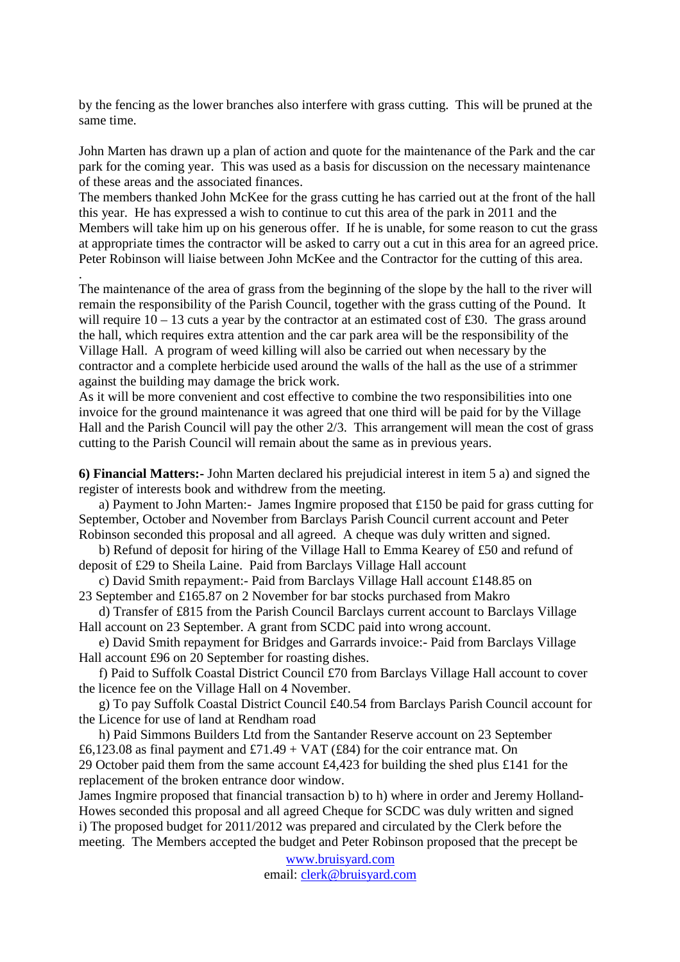by the fencing as the lower branches also interfere with grass cutting. This will be pruned at the same time.

John Marten has drawn up a plan of action and quote for the maintenance of the Park and the car park for the coming year. This was used as a basis for discussion on the necessary maintenance of these areas and the associated finances.

The members thanked John McKee for the grass cutting he has carried out at the front of the hall this year. He has expressed a wish to continue to cut this area of the park in 2011 and the Members will take him up on his generous offer. If he is unable, for some reason to cut the grass at appropriate times the contractor will be asked to carry out a cut in this area for an agreed price. Peter Robinson will liaise between John McKee and the Contractor for the cutting of this area.

The maintenance of the area of grass from the beginning of the slope by the hall to the river will remain the responsibility of the Parish Council, together with the grass cutting of the Pound. It will require  $10 - 13$  cuts a year by the contractor at an estimated cost of £30. The grass around the hall, which requires extra attention and the car park area will be the responsibility of the Village Hall. A program of weed killing will also be carried out when necessary by the contractor and a complete herbicide used around the walls of the hall as the use of a strimmer against the building may damage the brick work.

.

As it will be more convenient and cost effective to combine the two responsibilities into one invoice for the ground maintenance it was agreed that one third will be paid for by the Village Hall and the Parish Council will pay the other 2/3. This arrangement will mean the cost of grass cutting to the Parish Council will remain about the same as in previous years.

**6) Financial Matters:-** John Marten declared his prejudicial interest in item 5 a) and signed the register of interests book and withdrew from the meeting.

 a) Payment to John Marten:- James Ingmire proposed that £150 be paid for grass cutting for September, October and November from Barclays Parish Council current account and Peter Robinson seconded this proposal and all agreed. A cheque was duly written and signed.

 b) Refund of deposit for hiring of the Village Hall to Emma Kearey of £50 and refund of deposit of £29 to Sheila Laine. Paid from Barclays Village Hall account

 c) David Smith repayment:- Paid from Barclays Village Hall account £148.85 on 23 September and £165.87 on 2 November for bar stocks purchased from Makro

 d) Transfer of £815 from the Parish Council Barclays current account to Barclays Village Hall account on 23 September. A grant from SCDC paid into wrong account.

 e) David Smith repayment for Bridges and Garrards invoice:- Paid from Barclays Village Hall account £96 on 20 September for roasting dishes.

 f) Paid to Suffolk Coastal District Council £70 from Barclays Village Hall account to cover the licence fee on the Village Hall on 4 November.

 g) To pay Suffolk Coastal District Council £40.54 from Barclays Parish Council account for the Licence for use of land at Rendham road

 h) Paid Simmons Builders Ltd from the Santander Reserve account on 23 September £6,123.08 as final payment and £71.49 + VAT (£84) for the coir entrance mat. On 29 October paid them from the same account £4,423 for building the shed plus £141 for the replacement of the broken entrance door window.

James Ingmire proposed that financial transaction b) to h) where in order and Jeremy Holland-Howes seconded this proposal and all agreed Cheque for SCDC was duly written and signed i) The proposed budget for 2011/2012 was prepared and circulated by the Clerk before the meeting. The Members accepted the budget and Peter Robinson proposed that the precept be

> www.bruisyard.com email: clerk@bruisyard.com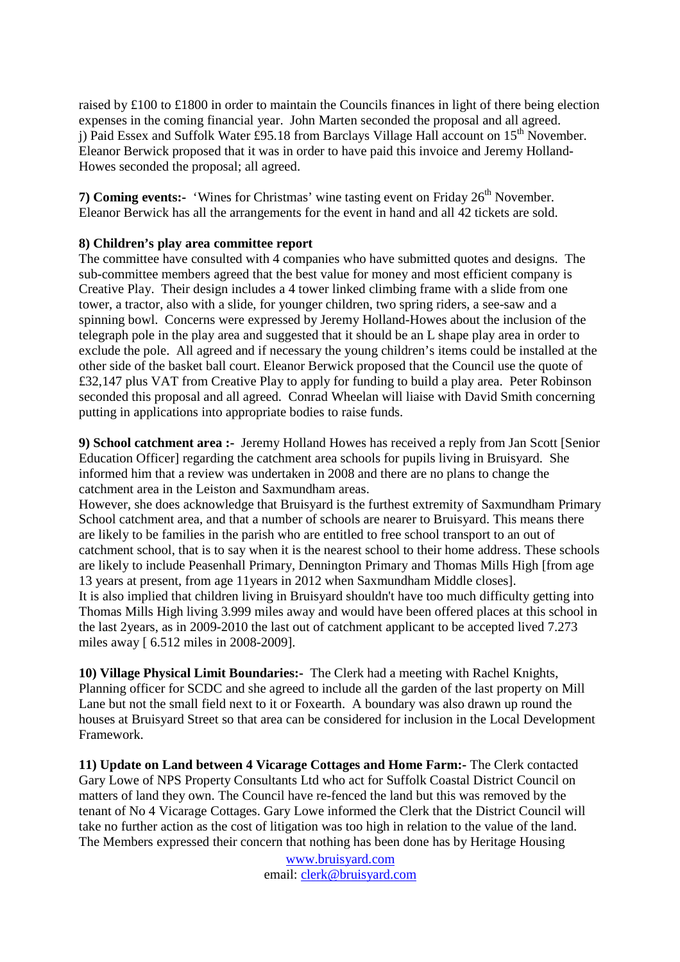raised by £100 to £1800 in order to maintain the Councils finances in light of there being election expenses in the coming financial year. John Marten seconded the proposal and all agreed. i) Paid Essex and Suffolk Water £95.18 from Barclays Village Hall account on  $15<sup>th</sup>$  November. Eleanor Berwick proposed that it was in order to have paid this invoice and Jeremy Holland-Howes seconded the proposal; all agreed.

**7) Coming events:-** 'Wines for Christmas' wine tasting event on Friday 26<sup>th</sup> November. Eleanor Berwick has all the arrangements for the event in hand and all 42 tickets are sold.

## **8) Children's play area committee report**

The committee have consulted with 4 companies who have submitted quotes and designs. The sub-committee members agreed that the best value for money and most efficient company is Creative Play. Their design includes a 4 tower linked climbing frame with a slide from one tower, a tractor, also with a slide, for younger children, two spring riders, a see-saw and a spinning bowl. Concerns were expressed by Jeremy Holland-Howes about the inclusion of the telegraph pole in the play area and suggested that it should be an L shape play area in order to exclude the pole. All agreed and if necessary the young children's items could be installed at the other side of the basket ball court. Eleanor Berwick proposed that the Council use the quote of £32,147 plus VAT from Creative Play to apply for funding to build a play area. Peter Robinson seconded this proposal and all agreed. Conrad Wheelan will liaise with David Smith concerning putting in applications into appropriate bodies to raise funds.

**9) School catchment area :-** Jeremy Holland Howes has received a reply from Jan Scott [Senior Education Officer] regarding the catchment area schools for pupils living in Bruisyard. She informed him that a review was undertaken in 2008 and there are no plans to change the catchment area in the Leiston and Saxmundham areas.

However, she does acknowledge that Bruisyard is the furthest extremity of Saxmundham Primary School catchment area, and that a number of schools are nearer to Bruisyard. This means there are likely to be families in the parish who are entitled to free school transport to an out of catchment school, that is to say when it is the nearest school to their home address. These schools are likely to include Peasenhall Primary, Dennington Primary and Thomas Mills High [from age 13 years at present, from age 11years in 2012 when Saxmundham Middle closes]. It is also implied that children living in Bruisyard shouldn't have too much difficulty getting into Thomas Mills High living 3.999 miles away and would have been offered places at this school in the last 2years, as in 2009-2010 the last out of catchment applicant to be accepted lived 7.273 miles away [ 6.512 miles in 2008-2009].

**10) Village Physical Limit Boundaries:-** The Clerk had a meeting with Rachel Knights, Planning officer for SCDC and she agreed to include all the garden of the last property on Mill Lane but not the small field next to it or Foxearth. A boundary was also drawn up round the houses at Bruisyard Street so that area can be considered for inclusion in the Local Development Framework.

**11) Update on Land between 4 Vicarage Cottages and Home Farm:-** The Clerk contacted Gary Lowe of NPS Property Consultants Ltd who act for Suffolk Coastal District Council on matters of land they own. The Council have re-fenced the land but this was removed by the tenant of No 4 Vicarage Cottages. Gary Lowe informed the Clerk that the District Council will take no further action as the cost of litigation was too high in relation to the value of the land. The Members expressed their concern that nothing has been done has by Heritage Housing

> www.bruisyard.com email: clerk@bruisyard.com